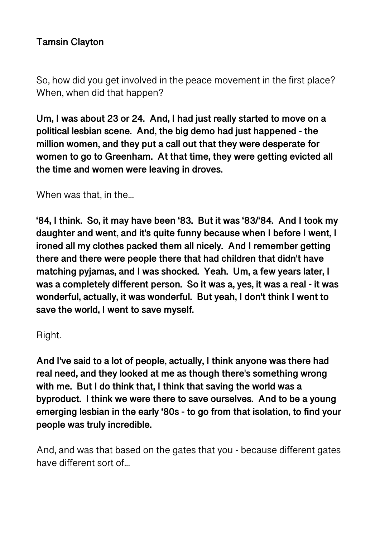## **Tamsin Clayton**

So, how did you get involved in the peace movement in the first place? When, when did that happen?

**Um, I was about 23 or 24. And, I had just really started to move on a political lesbian scene. And, the big demo had just happened - the million women, and they put a call out that they were desperate for women to go to Greenham. At that time, they were getting evicted all the time and women were leaving in droves.** 

When was that, in the...

**'84, I think. So, it may have been '83. But it was '83/'84. And I took my daughter and went, and it's quite funny because when I before I went, I ironed all my clothes packed them all nicely. And I remember getting there and there were people there that had children that didn't have matching pyjamas, and I was shocked. Yeah. Um, a few years later, I was a completely different person. So it was a, yes, it was a real - it was wonderful, actually, it was wonderful. But yeah, I don't think I went to save the world, I went to save myself.** 

Right.

**And I've said to a lot of people, actually, I think anyone was there had real need, and they looked at me as though there's something wrong with me. But I do think that, I think that saving the world was a byproduct. I think we were there to save ourselves. And to be a young emerging lesbian in the early '80s - to go from that isolation, to find your people was truly incredible.** 

And, and was that based on the gates that you - because different gates have different sort of...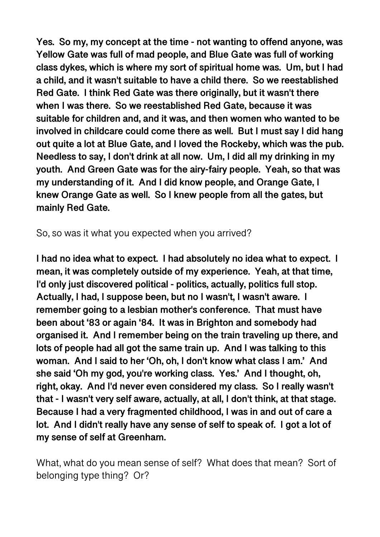**Yes. So my, my concept at the time - not wanting to offend anyone, was Yellow Gate was full of mad people, and Blue Gate was full of working class dykes, which is where my sort of spiritual home was. Um, but I had a child, and it wasn't suitable to have a child there. So we reestablished Red Gate. I think Red Gate was there originally, but it wasn't there when I was there. So we reestablished Red Gate, because it was suitable for children and, and it was, and then women who wanted to be involved in childcare could come there as well. But I must say I did hang out quite a lot at Blue Gate, and I loved the Rockeby, which was the pub. Needless to say, I don't drink at all now. Um, I did all my drinking in my youth. And Green Gate was for the airy-fairy people. Yeah, so that was my understanding of it. And I did know people, and Orange Gate, I knew Orange Gate as well. So I knew people from all the gates, but mainly Red Gate.** 

So, so was it what you expected when you arrived?

**I had no idea what to expect. I had absolutely no idea what to expect. I mean, it was completely outside of my experience. Yeah, at that time, I'd only just discovered political - politics, actually, politics full stop. Actually, I had, I suppose been, but no I wasn't, I wasn't aware. I remember going to a lesbian mother's conference. That must have been about '83 or again '84. It was in Brighton and somebody had organised it. And I remember being on the train traveling up there, and lots of people had all got the same train up. And I was talking to this woman. And I said to her 'Oh, oh, I don't know what class I am.' And she said 'Oh my god, you're working class. Yes.' And I thought, oh, right, okay. And I'd never even considered my class. So I really wasn't that - I wasn't very self aware, actually, at all, I don't think, at that stage. Because I had a very fragmented childhood, I was in and out of care a lot. And I didn't really have any sense of self to speak of. I got a lot of my sense of self at Greenham.** 

What, what do you mean sense of self? What does that mean? Sort of belonging type thing? Or?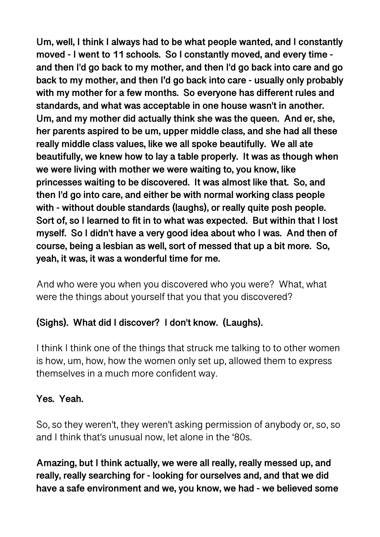**Um, well, I think I always had to be what people wanted, and I constantly moved - I went to 11 schools. So I constantly moved, and every time and then I'd go back to my mother, and then I'd go back into care and go back to my mother, and then I'd go back into care - usually only probably with my mother for a few months. So everyone has different rules and standards, and what was acceptable in one house wasn't in another. Um, and my mother did actually think she was the queen. And er, she, her parents aspired to be um, upper middle class, and she had all these really middle class values, like we all spoke beautifully. We all ate beautifully, we knew how to lay a table properly. It was as though when we were living with mother we were waiting to, you know, like princesses waiting to be discovered. It was almost like that. So, and then I'd go into care, and either be with normal working class people with - without double standards (laughs), or really quite posh people. Sort of, so I learned to fit in to what was expected. But within that I lost myself. So I didn't have a very good idea about who I was. And then of course, being a lesbian as well, sort of messed that up a bit more. So, yeah, it was, it was a wonderful time for me.** 

And who were you when you discovered who you were? What, what were the things about yourself that you that you discovered?

# **(Sighs). What did I discover? I don't know. (Laughs).**

I think I think one of the things that struck me talking to to other women is how, um, how, how the women only set up, allowed them to express themselves in a much more confident way.

## **Yes. Yeah.**

So, so they weren't, they weren't asking permission of anybody or, so, so and I think that's unusual now, let alone in the '80s.

**Amazing, but I think actually, we were all really, really messed up, and really, really searching for - looking for ourselves and, and that we did have a safe environment and we, you know, we had - we believed some**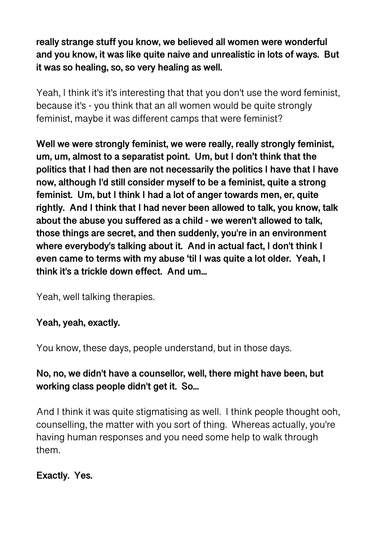**really strange stuff you know, we believed all women were wonderful and you know, it was like quite naive and unrealistic in lots of ways. But it was so healing, so, so very healing as well.** 

Yeah, I think it's it's interesting that that you don't use the word feminist, because it's - you think that an all women would be quite strongly feminist, maybe it was different camps that were feminist?

**Well we were strongly feminist, we were really, really strongly feminist, um, um, almost to a separatist point. Um, but I don't think that the politics that I had then are not necessarily the politics I have that I have now, although I'd still consider myself to be a feminist, quite a strong feminist. Um, but I think I had a lot of anger towards men, er, quite rightly. And I think that I had never been allowed to talk, you know, talk about the abuse you suffered as a child - we weren't allowed to talk, those things are secret, and then suddenly, you're in an environment where everybody's talking about it. And in actual fact, I don't think I even came to terms with my abuse 'til I was quite a lot older. Yeah, I think it's a trickle down effect. And um...** 

Yeah, well talking therapies.

## **Yeah, yeah, exactly.**

You know, these days, people understand, but in those days.

## **No, no, we didn't have a counsellor, well, there might have been, but working class people didn't get it. So...**

And I think it was quite stigmatising as well. I think people thought ooh, counselling, the matter with you sort of thing. Whereas actually, you're having human responses and you need some help to walk through them.

## **Exactly. Yes.**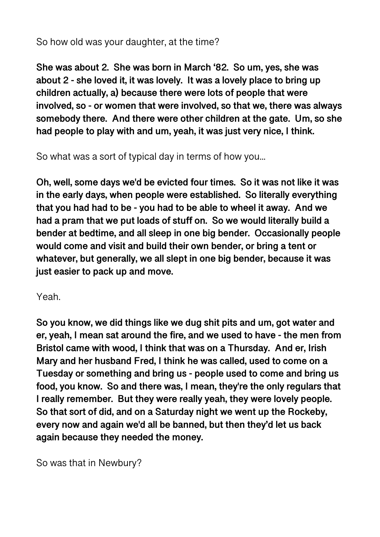## So how old was your daughter, at the time?

**She was about 2. She was born in March '82. So um, yes, she was about 2 - she loved it, it was lovely. It was a lovely place to bring up children actually, a) because there were lots of people that were involved, so - or women that were involved, so that we, there was always somebody there. And there were other children at the gate. Um, so she had people to play with and um, yeah, it was just very nice, I think.** 

So what was a sort of typical day in terms of how you...

**Oh, well, some days we'd be evicted four times. So it was not like it was in the early days, when people were established. So literally everything that you had had to be - you had to be able to wheel it away. And we had a pram that we put loads of stuff on. So we would literally build a bender at bedtime, and all sleep in one big bender. Occasionally people would come and visit and build their own bender, or bring a tent or whatever, but generally, we all slept in one big bender, because it was just easier to pack up and move.** 

Yeah.

**So you know, we did things like we dug shit pits and um, got water and er, yeah, I mean sat around the fire, and we used to have - the men from Bristol came with wood, I think that was on a Thursday. And er, Irish Mary and her husband Fred, I think he was called, used to come on a Tuesday or something and bring us - people used to come and bring us food, you know. So and there was, I mean, they're the only regulars that I really remember. But they were really yeah, they were lovely people. So that sort of did, and on a Saturday night we went up the Rockeby, every now and again we'd all be banned, but then they'd let us back again because they needed the money.** 

So was that in Newbury?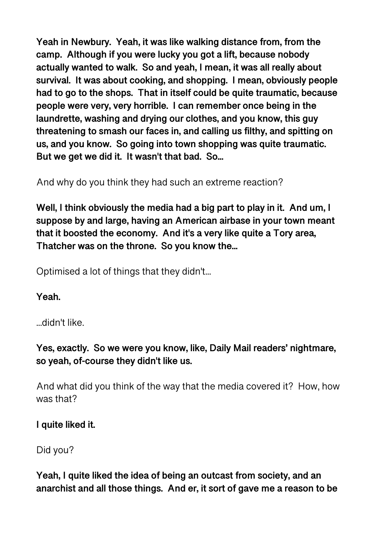**Yeah in Newbury. Yeah, it was like walking distance from, from the camp. Although if you were lucky you got a lift, because nobody actually wanted to walk. So and yeah, I mean, it was all really about survival. It was about cooking, and shopping. I mean, obviously people had to go to the shops. That in itself could be quite traumatic, because people were very, very horrible. I can remember once being in the laundrette, washing and drying our clothes, and you know, this guy threatening to smash our faces in, and calling us filthy, and spitting on us, and you know. So going into town shopping was quite traumatic. But we get we did it. It wasn't that bad. So...** 

And why do you think they had such an extreme reaction?

**Well, I think obviously the media had a big part to play in it. And um, I suppose by and large, having an American airbase in your town meant that it boosted the economy. And it's a very like quite a Tory area, Thatcher was on the throne. So you know the...** 

Optimised a lot of things that they didn't...

**Yeah.** 

...didn't like.

**Yes, exactly. So we were you know, like, Daily Mail readers' nightmare, so yeah, of-course they didn't like us.** 

And what did you think of the way that the media covered it? How, how was that?

### **I quite liked it.**

Did you?

**Yeah, I quite liked the idea of being an outcast from society, and an anarchist and all those things. And er, it sort of gave me a reason to be**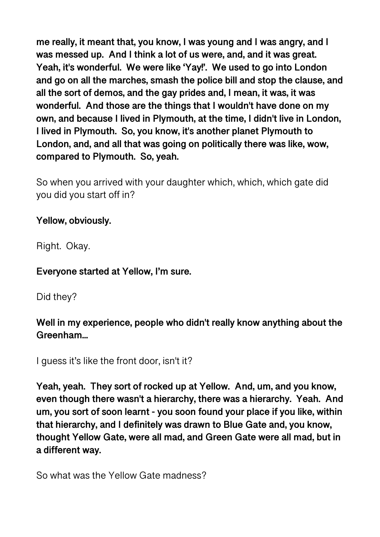**me really, it meant that, you know, I was young and I was angry, and I was messed up. And I think a lot of us were, and, and it was great. Yeah, it's wonderful. We were like 'Yay!'. We used to go into London and go on all the marches, smash the police bill and stop the clause, and all the sort of demos, and the gay prides and, I mean, it was, it was wonderful. And those are the things that I wouldn't have done on my own, and because I lived in Plymouth, at the time, I didn't live in London, I lived in Plymouth. So, you know, it's another planet Plymouth to London, and, and all that was going on politically there was like, wow, compared to Plymouth. So, yeah.** 

So when you arrived with your daughter which, which, which gate did you did you start off in?

## **Yellow, obviously.**

Right. Okay.

### **Everyone started at Yellow, I'm sure.**

Did they?

## **Well in my experience, people who didn't really know anything about the Greenham...**

I quess it's like the front door, isn't it?

**Yeah, yeah. They sort of rocked up at Yellow. And, um, and you know, even though there wasn't a hierarchy, there was a hierarchy. Yeah. And um, you sort of soon learnt - you soon found your place if you like, within that hierarchy, and I definitely was drawn to Blue Gate and, you know, thought Yellow Gate, were all mad, and Green Gate were all mad, but in a different way.** 

So what was the Yellow Gate madness?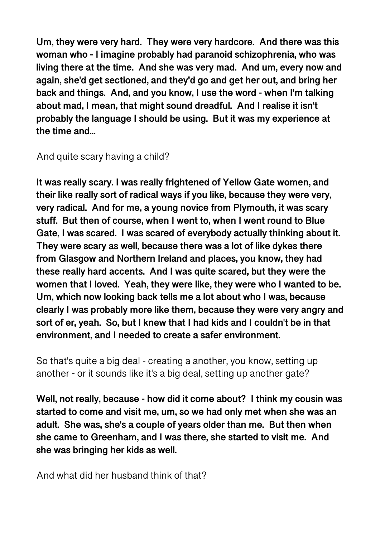**Um, they were very hard. They were very hardcore. And there was this woman who - I imagine probably had paranoid schizophrenia, who was living there at the time. And she was very mad. And um, every now and again, she'd get sectioned, and they'd go and get her out, and bring her back and things. And, and you know, I use the word - when I'm talking about mad, I mean, that might sound dreadful. And I realise it isn't probably the language I should be using. But it was my experience at the time and...** 

And quite scary having a child?

**It was really scary. I was really frightened of Yellow Gate women, and their like really sort of radical ways if you like, because they were very, very radical. And for me, a young novice from Plymouth, it was scary stuff. But then of course, when I went to, when I went round to Blue Gate, I was scared. I was scared of everybody actually thinking about it. They were scary as well, because there was a lot of like dykes there from Glasgow and Northern Ireland and places, you know, they had these really hard accents. And I was quite scared, but they were the women that I loved. Yeah, they were like, they were who I wanted to be. Um, which now looking back tells me a lot about who I was, because clearly I was probably more like them, because they were very angry and sort of er, yeah. So, but I knew that I had kids and I couldn't be in that environment, and I needed to create a safer environment.** 

So that's quite a big deal - creating a another, you know, setting up another - or it sounds like it's a big deal, setting up another gate?

**Well, not really, because - how did it come about? I think my cousin was started to come and visit me, um, so we had only met when she was an adult. She was, she's a couple of years older than me. But then when she came to Greenham, and I was there, she started to visit me. And she was bringing her kids as well.** 

And what did her husband think of that?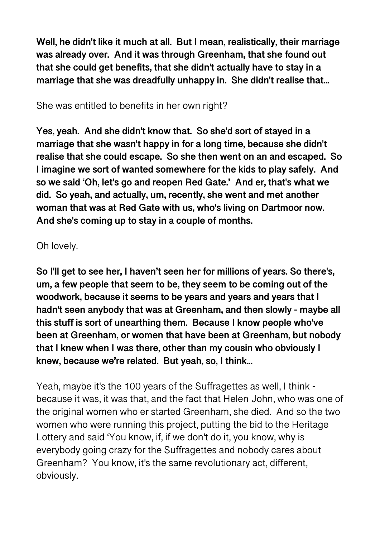**Well, he didn't like it much at all. But I mean, realistically, their marriage was already over. And it was through Greenham, that she found out that she could get benefits, that she didn't actually have to stay in a marriage that she was dreadfully unhappy in. She didn't realise that...** 

## She was entitled to benefits in her own right?

**Yes, yeah. And she didn't know that. So she'd sort of stayed in a marriage that she wasn't happy in for a long time, because she didn't realise that she could escape. So she then went on an and escaped. So I imagine we sort of wanted somewhere for the kids to play safely. And so we said 'Oh, let's go and reopen Red Gate.' And er, that's what we did. So yeah, and actually, um, recently, she went and met another woman that was at Red Gate with us, who's living on Dartmoor now. And she's coming up to stay in a couple of months.** 

## Oh lovely.

**So I'll get to see her, I haven't seen her for millions of years. So there's, um, a few people that seem to be, they seem to be coming out of the woodwork, because it seems to be years and years and years that I hadn't seen anybody that was at Greenham, and then slowly - maybe all this stuff is sort of unearthing them. Because I know people who've been at Greenham, or women that have been at Greenham, but nobody that I knew when I was there, other than my cousin who obviously I knew, because we're related. But yeah, so, I think...** 

Yeah, maybe it's the 100 years of the Suffragettes as well, I think because it was, it was that, and the fact that Helen John, who was one of the original women who er started Greenham, she died. And so the two women who were running this project, putting the bid to the Heritage Lottery and said 'You know, if, if we don't do it, you know, why is everybody going crazy for the Suffragettes and nobody cares about Greenham? You know, it's the same revolutionary act, different, obviously.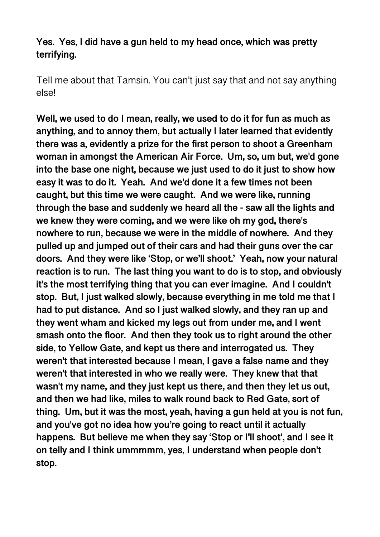## **Yes. Yes, I did have a gun held to my head once, which was pretty terrifying.**

Tell me about that Tamsin. You can't just say that and not say anything else!

**Well, we used to do I mean, really, we used to do it for fun as much as anything, and to annoy them, but actually I later learned that evidently there was a, evidently a prize for the first person to shoot a Greenham woman in amongst the American Air Force. Um, so, um but, we'd gone into the base one night, because we just used to do it just to show how easy it was to do it. Yeah. And we'd done it a few times not been caught, but this time we were caught. And we were like, running through the base and suddenly we heard all the - saw all the lights and we knew they were coming, and we were like oh my god, there's nowhere to run, because we were in the middle of nowhere. And they pulled up and jumped out of their cars and had their guns over the car doors. And they were like 'Stop, or we'll shoot.' Yeah, now your natural reaction is to run. The last thing you want to do is to stop, and obviously it's the most terrifying thing that you can ever imagine. And I couldn't stop. But, I just walked slowly, because everything in me told me that I had to put distance. And so I just walked slowly, and they ran up and they went wham and kicked my legs out from under me, and I went smash onto the floor. And then they took us to right around the other side, to Yellow Gate, and kept us there and interrogated us. They weren't that interested because I mean, I gave a false name and they weren't that interested in who we really were. They knew that that wasn't my name, and they just kept us there, and then they let us out, and then we had like, miles to walk round back to Red Gate, sort of thing. Um, but it was the most, yeah, having a gun held at you is not fun, and you've got no idea how you're going to react until it actually happens. But believe me when they say 'Stop or I'll shoot', and I see it on telly and I think ummmmm, yes, I understand when people don't stop.**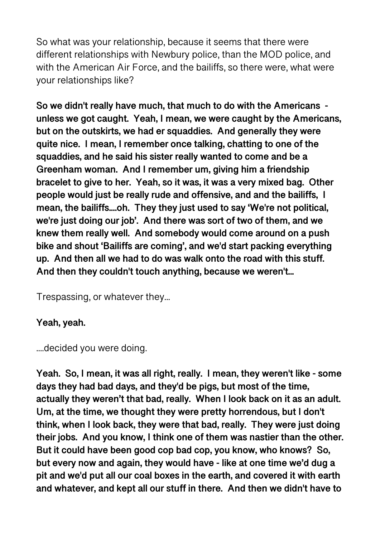So what was your relationship, because it seems that there were different relationships with Newbury police, than the MOD police, and with the American Air Force, and the bailiffs, so there were, what were your relationships like?

**So we didn't really have much, that much to do with the Americans unless we got caught. Yeah, I mean, we were caught by the Americans, but on the outskirts, we had er squaddies. And generally they were quite nice. I mean, I remember once talking, chatting to one of the squaddies, and he said his sister really wanted to come and be a Greenham woman. And I remember um, giving him a friendship bracelet to give to her. Yeah, so it was, it was a very mixed bag. Other people would just be really rude and offensive, and and the bailiffs, I mean, the bailiffs....oh. They they just used to say 'We're not political, we're just doing our job'. And there was sort of two of them, and we knew them really well. And somebody would come around on a push bike and shout 'Bailiffs are coming', and we'd start packing everything up. And then all we had to do was walk onto the road with this stuff. And then they couldn't touch anything, because we weren't...** 

Trespassing, or whatever they...

## **Yeah, yeah.**

....decided you were doing.

**Yeah. So, I mean, it was all right, really. I mean, they weren't like - some days they had bad days, and they'd be pigs, but most of the time, actually they weren't that bad, really. When I look back on it as an adult. Um, at the time, we thought they were pretty horrendous, but I don't think, when I look back, they were that bad, really. They were just doing their jobs. And you know, I think one of them was nastier than the other. But it could have been good cop bad cop, you know, who knows? So, but every now and again, they would have - like at one time we'd dug a pit and we'd put all our coal boxes in the earth, and covered it with earth and whatever, and kept all our stuff in there. And then we didn't have to**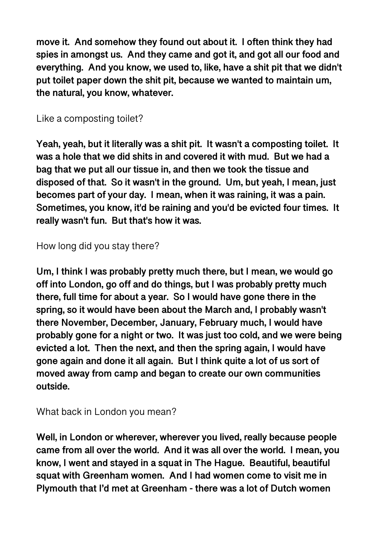**move it. And somehow they found out about it. I often think they had spies in amongst us. And they came and got it, and got all our food and everything. And you know, we used to, like, have a shit pit that we didn't put toilet paper down the shit pit, because we wanted to maintain um, the natural, you know, whatever.** 

### Like a composting toilet?

**Yeah, yeah, but it literally was a shit pit. It wasn't a composting toilet. It was a hole that we did shits in and covered it with mud. But we had a bag that we put all our tissue in, and then we took the tissue and disposed of that. So it wasn't in the ground. Um, but yeah, I mean, just becomes part of your day. I mean, when it was raining, it was a pain. Sometimes, you know, it'd be raining and you'd be evicted four times. It really wasn't fun. But that's how it was.** 

### How long did you stay there?

**Um, I think I was probably pretty much there, but I mean, we would go off into London, go off and do things, but I was probably pretty much there, full time for about a year. So I would have gone there in the spring, so it would have been about the March and, I probably wasn't there November, December, January, February much, I would have probably gone for a night or two. It was just too cold, and we were being evicted a lot. Then the next, and then the spring again, I would have gone again and done it all again. But I think quite a lot of us sort of moved away from camp and began to create our own communities outside.** 

### What back in London you mean?

**Well, in London or wherever, wherever you lived, really because people came from all over the world. And it was all over the world. I mean, you know, I went and stayed in a squat in The Hague. Beautiful, beautiful squat with Greenham women. And I had women come to visit me in Plymouth that I'd met at Greenham - there was a lot of Dutch women**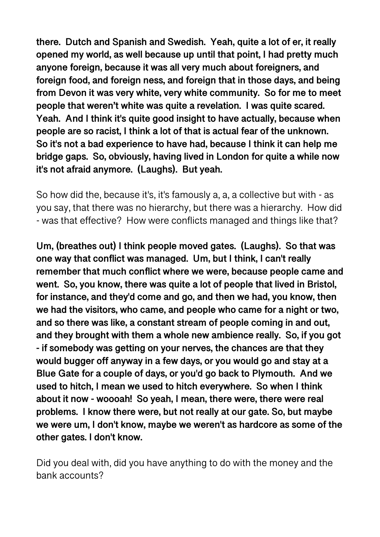**there. Dutch and Spanish and Swedish. Yeah, quite a lot of er, it really opened my world, as well because up until that point, I had pretty much anyone foreign, because it was all very much about foreigners, and foreign food, and foreign ness, and foreign that in those days, and being from Devon it was very white, very white community. So for me to meet people that weren't white was quite a revelation. I was quite scared. Yeah. And I think it's quite good insight to have actually, because when people are so racist, I think a lot of that is actual fear of the unknown. So it's not a bad experience to have had, because I think it can help me bridge gaps. So, obviously, having lived in London for quite a while now it's not afraid anymore. (Laughs). But yeah.** 

So how did the, because it's, it's famously a, a, a collective but with - as you say, that there was no hierarchy, but there was a hierarchy. How did - was that effective? How were conflicts managed and things like that?

**Um, (breathes out) I think people moved gates. (Laughs). So that was one way that conflict was managed. Um, but I think, I can't really remember that much conflict where we were, because people came and went. So, you know, there was quite a lot of people that lived in Bristol, for instance, and they'd come and go, and then we had, you know, then we had the visitors, who came, and people who came for a night or two, and so there was like, a constant stream of people coming in and out, and they brought with them a whole new ambience really. So, if you got - if somebody was getting on your nerves, the chances are that they would bugger off anyway in a few days, or you would go and stay at a Blue Gate for a couple of days, or you'd go back to Plymouth. And we used to hitch, I mean we used to hitch everywhere. So when I think about it now - woooah! So yeah, I mean, there were, there were real problems. I know there were, but not really at our gate. So, but maybe we were um, I don't know, maybe we weren't as hardcore as some of the other gates. I don't know.** 

Did you deal with, did you have anything to do with the money and the bank accounts?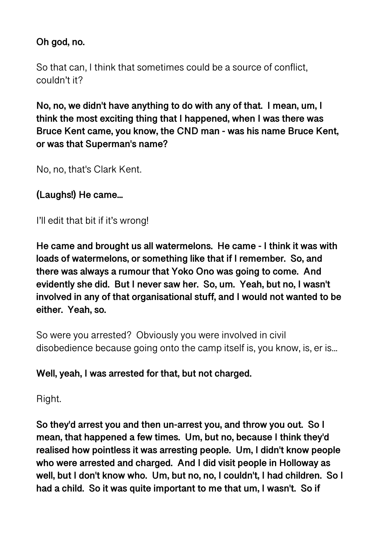# **Oh god, no.**

So that can, I think that sometimes could be a source of conflict, couldn't it?

**No, no, we didn't have anything to do with any of that. I mean, um, I think the most exciting thing that I happened, when I was there was Bruce Kent came, you know, the CND man - was his name Bruce Kent, or was that Superman's name?** 

No, no, that's Clark Kent.

**(Laughs!) He came...** 

I'll edit that bit if it's wrong!

**He came and brought us all watermelons. He came - I think it was with loads of watermelons, or something like that if I remember. So, and there was always a rumour that Yoko Ono was going to come. And evidently she did. But I never saw her. So, um. Yeah, but no, I wasn't involved in any of that organisational stuff, and I would not wanted to be either. Yeah, so.** 

So were you arrested? Obviously you were involved in civil disobedience because going onto the camp itself is, you know, is, er is...

## **Well, yeah, I was arrested for that, but not charged.**

Right.

**So they'd arrest you and then un-arrest you, and throw you out. So I mean, that happened a few times. Um, but no, because I think they'd realised how pointless it was arresting people. Um, I didn't know people who were arrested and charged. And I did visit people in Holloway as well, but I don't know who. Um, but no, no, I couldn't, I had children. So I had a child. So it was quite important to me that um, I wasn't. So if**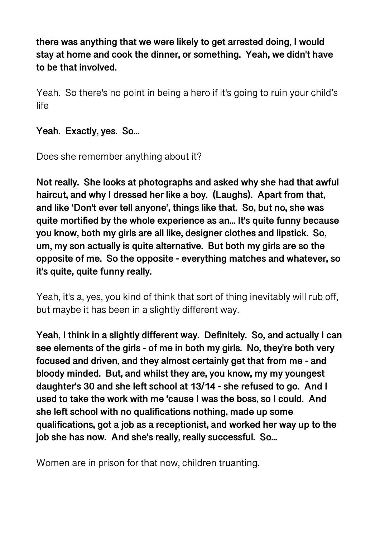**there was anything that we were likely to get arrested doing, I would stay at home and cook the dinner, or something. Yeah, we didn't have to be that involved.** 

Yeah. So there's no point in being a hero if it's going to ruin your child's life

**Yeah. Exactly, yes. So...** 

Does she remember anything about it?

**Not really. She looks at photographs and asked why she had that awful haircut, and why I dressed her like a boy. (Laughs). Apart from that, and like 'Don't ever tell anyone', things like that. So, but no, she was quite mortified by the whole experience as an... It's quite funny because you know, both my girls are all like, designer clothes and lipstick. So, um, my son actually is quite alternative. But both my girls are so the opposite of me. So the opposite - everything matches and whatever, so it's quite, quite funny really.** 

Yeah, it's a, yes, you kind of think that sort of thing inevitably will rub off, but maybe it has been in a slightly different way.

**Yeah, I think in a slightly different way. Definitely. So, and actually I can see elements of the girls - of me in both my girls. No, they're both very focused and driven, and they almost certainly get that from me - and bloody minded. But, and whilst they are, you know, my my youngest daughter's 30 and she left school at 13/14 - she refused to go. And I used to take the work with me 'cause I was the boss, so I could. And she left school with no qualifications nothing, made up some qualifications, got a job as a receptionist, and worked her way up to the job she has now. And she's really, really successful. So...** 

Women are in prison for that now, children truanting.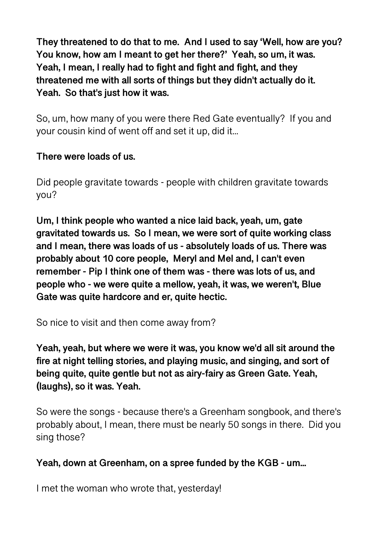**They threatened to do that to me. And I used to say 'Well, how are you? You know, how am I meant to get her there?' Yeah, so um, it was. Yeah, I mean, I really had to fight and fight and fight, and they threatened me with all sorts of things but they didn't actually do it. Yeah. So that's just how it was.** 

So, um, how many of you were there Red Gate eventually? If you and your cousin kind of went off and set it up, did it...

## **There were loads of us.**

Did people gravitate towards - people with children gravitate towards you?

**Um, I think people who wanted a nice laid back, yeah, um, gate gravitated towards us. So I mean, we were sort of quite working class and I mean, there was loads of us - absolutely loads of us. There was probably about 10 core people, Meryl and Mel and, I can't even remember - Pip I think one of them was - there was lots of us, and people who - we were quite a mellow, yeah, it was, we weren't, Blue Gate was quite hardcore and er, quite hectic.** 

So nice to visit and then come away from?

**Yeah, yeah, but where we were it was, you know we'd all sit around the fire at night telling stories, and playing music, and singing, and sort of being quite, quite gentle but not as airy-fairy as Green Gate. Yeah, (laughs), so it was. Yeah.** 

So were the songs - because there's a Greenham songbook, and there's probably about, I mean, there must be nearly 50 songs in there. Did you sing those?

## **Yeah, down at Greenham, on a spree funded by the KGB - um...**

I met the woman who wrote that, yesterday!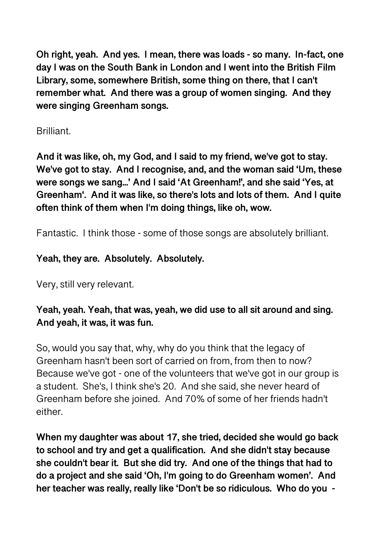**Oh right, yeah. And yes. I mean, there was loads - so many. In-fact, one day I was on the South Bank in London and I went into the British Film Library, some, somewhere British, some thing on there, that I can't remember what. And there was a group of women singing. And they were singing Greenham songs.** 

## Brilliant.

**And it was like, oh, my God, and I said to my friend, we've got to stay. We've got to stay. And I recognise, and, and the woman said 'Um, these were songs we sang...' And I said 'At Greenham!', and she said 'Yes, at Greenham'. And it was like, so there's lots and lots of them. And I quite often think of them when I'm doing things, like oh, wow.** 

Fantastic. I think those - some of those songs are absolutely brilliant.

## **Yeah, they are. Absolutely. Absolutely.**

Very, still very relevant.

## **Yeah, yeah. Yeah, that was, yeah, we did use to all sit around and sing. And yeah, it was, it was fun.**

So, would you say that, why, why do you think that the legacy of Greenham hasn't been sort of carried on from, from then to now? Because we've got - one of the volunteers that we've got in our group is a student. She's, I think she's 20. And she said, she never heard of Greenham before she joined. And 70% of some of her friends hadn't either.

**When my daughter was about 17, she tried, decided she would go back to school and try and get a qualification. And she didn't stay because she couldn't bear it. But she did try. And one of the things that had to do a project and she said 'Oh, I'm going to do Greenham women'. And her teacher was really, really like 'Don't be so ridiculous. Who do you -**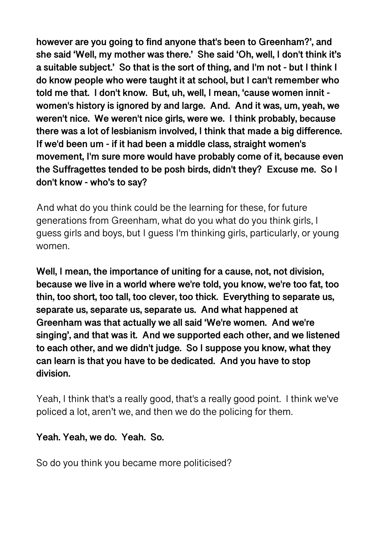**however are you going to find anyone that's been to Greenham?', and she said 'Well, my mother was there.' She said 'Oh, well, I don't think it's a suitable subject.' So that is the sort of thing, and I'm not - but I think I do know people who were taught it at school, but I can't remember who told me that. I don't know. But, uh, well, I mean, 'cause women innit women's history is ignored by and large. And. And it was, um, yeah, we weren't nice. We weren't nice girls, were we. I think probably, because there was a lot of lesbianism involved, I think that made a big difference. If we'd been um - if it had been a middle class, straight women's movement, I'm sure more would have probably come of it, because even the Suffragettes tended to be posh birds, didn't they? Excuse me. So I don't know - who's to say?** 

And what do you think could be the learning for these, for future generations from Greenham, what do you what do you think girls, I guess girls and boys, but I guess I'm thinking girls, particularly, or young women.

**Well, I mean, the importance of uniting for a cause, not, not division, because we live in a world where we're told, you know, we're too fat, too thin, too short, too tall, too clever, too thick. Everything to separate us, separate us, separate us, separate us. And what happened at Greenham was that actually we all said 'We're women. And we're singing', and that was it. And we supported each other, and we listened to each other, and we didn't judge. So I suppose you know, what they can learn is that you have to be dedicated. And you have to stop division.** 

Yeah, I think that's a really good, that's a really good point. I think we've policed a lot, aren't we, and then we do the policing for them.

### **Yeah. Yeah, we do. Yeah. So.**

So do you think you became more politicised?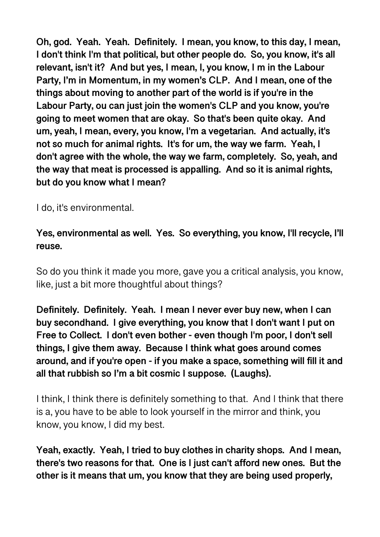**Oh, god. Yeah. Yeah. Definitely. I mean, you know, to this day, I mean, I don't think I'm that political, but other people do. So, you know, it's all relevant, isn't it? And but yes, I mean, I, you know, I m in the Labour Party, I'm in Momentum, in my women's CLP. And I mean, one of the things about moving to another part of the world is if you're in the Labour Party, ou can just join the women's CLP and you know, you're going to meet women that are okay. So that's been quite okay. And um, yeah, I mean, every, you know, I'm a vegetarian. And actually, it's not so much for animal rights. It's for um, the way we farm. Yeah, I don't agree with the whole, the way we farm, completely. So, yeah, and the way that meat is processed is appalling. And so it is animal rights, but do you know what I mean?** 

I do, it's environmental.

**Yes, environmental as well. Yes. So everything, you know, I'll recycle, I'll reuse.** 

So do you think it made you more, gave you a critical analysis, you know, like, just a bit more thoughtful about things?

**Definitely. Definitely. Yeah. I mean I never ever buy new, when I can buy secondhand. I give everything, you know that I don't want I put on Free to Collect. I don't even bother - even though I'm poor, I don't sell things, I give them away. Because I think what goes around comes around, and if you're open - if you make a space, something will fill it and all that rubbish so I'm a bit cosmic I suppose. (Laughs).** 

I think, I think there is definitely something to that. And I think that there is a, you have to be able to look yourself in the mirror and think, you know, you know, I did my best.

**Yeah, exactly. Yeah, I tried to buy clothes in charity shops. And I mean, there's two reasons for that. One is I just can't afford new ones. But the other is it means that um, you know that they are being used properly,**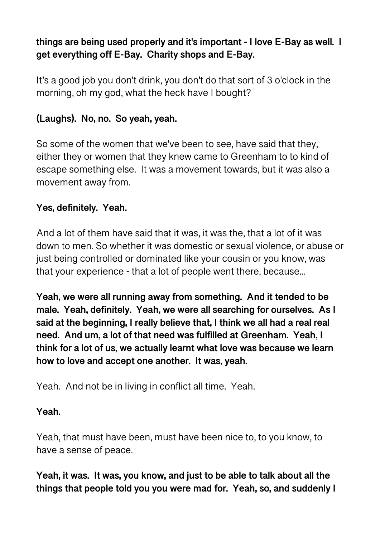# **things are being used properly and it's important - I love E-Bay as well. I get everything off E-Bay. Charity shops and E-Bay.**

It's a good job you don't drink, you don't do that sort of 3 o'clock in the morning, oh my god, what the heck have I bought?

## **(Laughs). No, no. So yeah, yeah.**

So some of the women that we've been to see, have said that they, either they or women that they knew came to Greenham to to kind of escape something else. It was a movement towards, but it was also a movement away from.

## **Yes, definitely. Yeah.**

And a lot of them have said that it was, it was the, that a lot of it was down to men. So whether it was domestic or sexual violence, or abuse or just being controlled or dominated like your cousin or you know, was that your experience - that a lot of people went there, because...

**Yeah, we were all running away from something. And it tended to be male. Yeah, definitely. Yeah, we were all searching for ourselves. As I said at the beginning, I really believe that, I think we all had a real real need. And um, a lot of that need was fulfilled at Greenham. Yeah, I think for a lot of us, we actually learnt what love was because we learn how to love and accept one another. It was, yeah.** 

Yeah. And not be in living in conflict all time. Yeah.

#### **Yeah.**

Yeah, that must have been, must have been nice to, to you know, to have a sense of peace.

**Yeah, it was. It was, you know, and just to be able to talk about all the things that people told you you were mad for. Yeah, so, and suddenly I**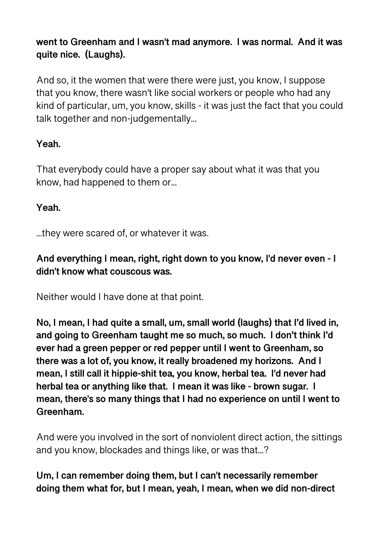# **went to Greenham and I wasn't mad anymore. I was normal. And it was quite nice. (Laughs).**

And so, it the women that were there were just, you know, I suppose that you know, there wasn't like social workers or people who had any kind of particular, um, you know, skills - it was just the fact that you could talk together and non-judgementally...

# **Yeah.**

That everybody could have a proper say about what it was that you know, had happened to them or...

## **Yeah.**

...they were scared of, or whatever it was.

## **And everything I mean, right, right down to you know, I'd never even - I didn't know what couscous was.**

Neither would I have done at that point.

**No, I mean, I had quite a small, um, small world (laughs) that I'd lived in, and going to Greenham taught me so much, so much. I don't think I'd ever had a green pepper or red pepper until I went to Greenham, so there was a lot of, you know, it really broadened my horizons. And I mean, I still call it hippie-shit tea, you know, herbal tea. I'd never had herbal tea or anything like that. I mean it was like - brown sugar. I mean, there's so many things that I had no experience on until I went to Greenham.** 

And were you involved in the sort of nonviolent direct action, the sittings and you know, blockades and things like, or was that...?

## **Um, I can remember doing them, but I can't necessarily remember doing them what for, but I mean, yeah, I mean, when we did non-direct**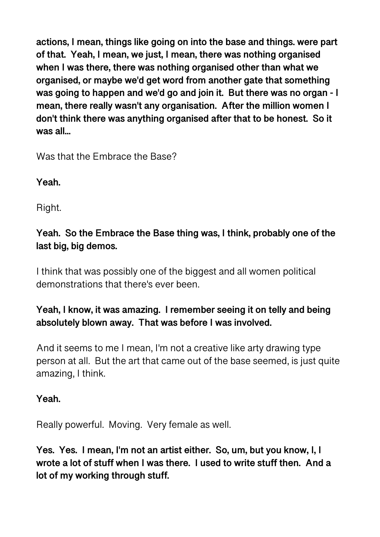**actions, I mean, things like going on into the base and things. were part of that. Yeah, I mean, we just, I mean, there was nothing organised when I was there, there was nothing organised other than what we organised, or maybe we'd get word from another gate that something was going to happen and we'd go and join it. But there was no organ - I mean, there really wasn't any organisation. After the million women I don't think there was anything organised after that to be honest. So it was all...** 

Was that the Embrace the Base?

## **Yeah.**

Right.

# **Yeah. So the Embrace the Base thing was, I think, probably one of the last big, big demos.**

I think that was possibly one of the biggest and all women political demonstrations that there's ever been.

## **Yeah, I know, it was amazing. I remember seeing it on telly and being absolutely blown away. That was before I was involved.**

And it seems to me I mean, I'm not a creative like arty drawing type person at all. But the art that came out of the base seemed, is just quite amazing, I think.

## **Yeah.**

Really powerful. Moving. Very female as well.

**Yes. Yes. I mean, I'm not an artist either. So, um, but you know, I, I wrote a lot of stuff when I was there. I used to write stuff then. And a lot of my working through stuff.**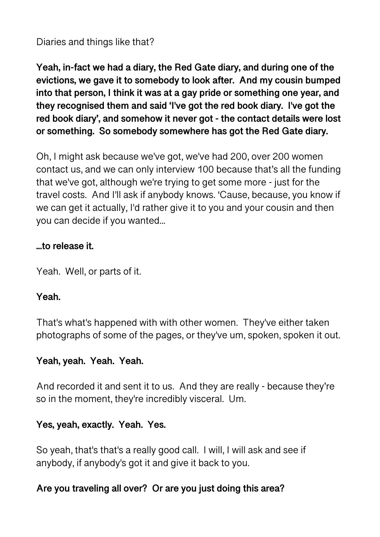Diaries and things like that?

**Yeah, in-fact we had a diary, the Red Gate diary, and during one of the evictions, we gave it to somebody to look after. And my cousin bumped into that person, I think it was at a gay pride or something one year, and they recognised them and said 'I've got the red book diary. I've got the red book diary', and somehow it never got - the contact details were lost or something. So somebody somewhere has got the Red Gate diary.** 

Oh, I might ask because we've got, we've had 200, over 200 women contact us, and we can only interview 100 because that's all the funding that we've got, although we're trying to get some more - just for the travel costs. And I'll ask if anybody knows. 'Cause, because, you know if we can get it actually, I'd rather give it to you and your cousin and then you can decide if you wanted...

### **...to release it.**

Yeah. Well, or parts of it.

#### **Yeah.**

That's what's happened with with other women. They've either taken photographs of some of the pages, or they've um, spoken, spoken it out.

#### **Yeah, yeah. Yeah. Yeah.**

And recorded it and sent it to us. And they are really - because they're so in the moment, they're incredibly visceral. Um.

### **Yes, yeah, exactly. Yeah. Yes.**

So yeah, that's that's a really good call. I will, I will ask and see if anybody, if anybody's got it and give it back to you.

### **Are you traveling all over? Or are you just doing this area?**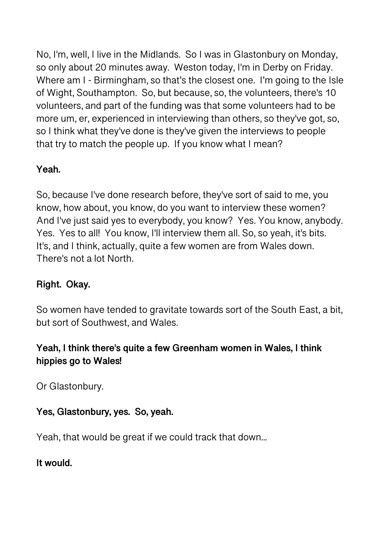No, I'm, well, I live in the Midlands. So I was in Glastonbury on Monday, so only about 20 minutes away. Weston today, I'm in Derby on Friday. Where am I - Birmingham, so that's the closest one. I'm going to the Isle of Wight, Southampton. So, but because, so, the volunteers, there's 10 volunteers, and part of the funding was that some volunteers had to be more um, er, experienced in interviewing than others, so they've got, so, so I think what they've done is they've given the interviews to people that try to match the people up. If you know what I mean?

# **Yeah.**

So, because I've done research before, they've sort of said to me, you know, how about, you know, do you want to interview these women? And I've just said yes to everybody, you know? Yes. You know, anybody. Yes. Yes to all! You know, I'll interview them all. So, so yeah, it's bits. It's, and I think, actually, quite a few women are from Wales down. There's not a lot North.

## **Right. Okay.**

So women have tended to gravitate towards sort of the South East, a bit, but sort of Southwest, and Wales.

## **Yeah, I think there's quite a few Greenham women in Wales, I think hippies go to Wales!**

Or Glastonbury.

# **Yes, Glastonbury, yes. So, yeah.**

Yeah, that would be great if we could track that down...

**It would.**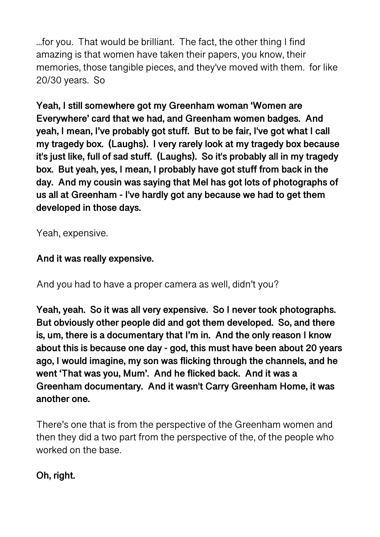...for you. That would be brilliant. The fact, the other thing I find amazing is that women have taken their papers, you know, their memories, those tangible pieces, and they've moved with them. for like 20/30 years. So

**Yeah, I still somewhere got my Greenham woman 'Women are Everywhere' card that we had, and Greenham women badges. And yeah, I mean, I've probably got stuff. But to be fair, I've got what I call my tragedy box. (Laughs). I very rarely look at my tragedy box because it's just like, full of sad stuff. (Laughs). So it's probably all in my tragedy box. But yeah, yes, I mean, I probably have got stuff from back in the day. And my cousin was saying that Mel has got lots of photographs of us all at Greenham - I've hardly got any because we had to get them developed in those days.** 

Yeah, expensive.

## **And it was really expensive.**

And you had to have a proper camera as well, didn't you?

**Yeah, yeah. So it was all very expensive. So I never took photographs. But obviously other people did and got them developed. So, and there is, um, there is a documentary that I'm in. And the only reason I know about this is because one day - god, this must have been about 20 years ago, I would imagine, my son was flicking through the channels, and he went 'That was you, Mum'. And he flicked back. And it was a Greenham documentary. And it wasn't Carry Greenham Home, it was another one.** 

There's one that is from the perspective of the Greenham women and then they did a two part from the perspective of the, of the people who worked on the base.

**Oh, right.**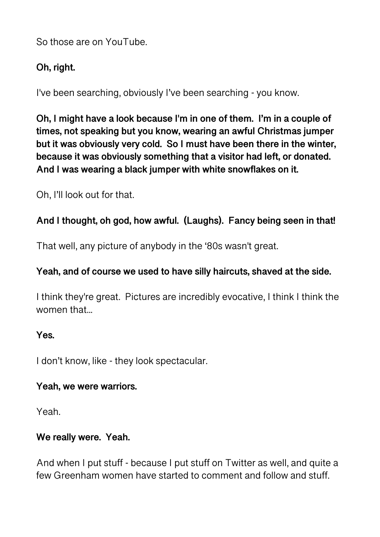So those are on YouTube.

## **Oh, right.**

I've been searching, obviously I've been searching - you know.

**Oh, I might have a look because I'm in one of them. I'm in a couple of times, not speaking but you know, wearing an awful Christmas jumper but it was obviously very cold. So I must have been there in the winter, because it was obviously something that a visitor had left, or donated. And I was wearing a black jumper with white snowflakes on it.** 

Oh, I'll look out for that.

## **And I thought, oh god, how awful. (Laughs). Fancy being seen in that!**

That well, any picture of anybody in the '80s wasn't great.

## **Yeah, and of course we used to have silly haircuts, shaved at the side.**

I think they're great. Pictures are incredibly evocative, I think I think the women that...

### **Yes.**

I don't know, like - they look spectacular.

### **Yeah, we were warriors.**

Yeah.

### **We really were. Yeah.**

And when I put stuff - because I put stuff on Twitter as well, and quite a few Greenham women have started to comment and follow and stuff.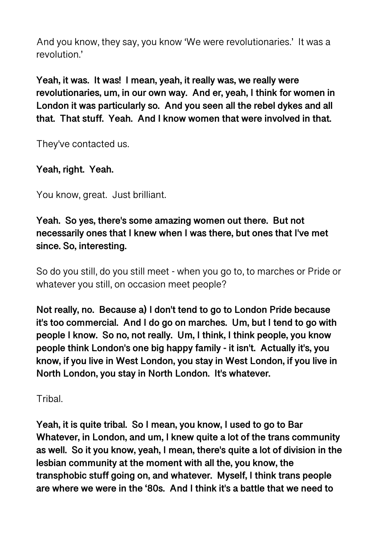And you know, they say, you know 'We were revolutionaries.' It was a revolution.'

**Yeah, it was. It was! I mean, yeah, it really was, we really were revolutionaries, um, in our own way. And er, yeah, I think for women in London it was particularly so. And you seen all the rebel dykes and all that. That stuff. Yeah. And I know women that were involved in that.** 

They've contacted us.

## **Yeah, right. Yeah.**

You know, great. Just brilliant.

**Yeah. So yes, there's some amazing women out there. But not necessarily ones that I knew when I was there, but ones that I've met since. So, interesting.** 

So do you still, do you still meet - when you go to, to marches or Pride or whatever you still, on occasion meet people?

**Not really, no. Because a) I don't tend to go to London Pride because it's too commercial. And I do go on marches. Um, but I tend to go with people I know. So no, not really. Um, I think, I think people, you know people think London's one big happy family - it isn't. Actually it's, you know, if you live in West London, you stay in West London, if you live in North London, you stay in North London. It's whatever.** 

**Tribal.** 

**Yeah, it is quite tribal. So I mean, you know, I used to go to Bar Whatever, in London, and um, I knew quite a lot of the trans community as well. So it you know, yeah, I mean, there's quite a lot of division in the lesbian community at the moment with all the, you know, the transphobic stuff going on, and whatever. Myself, I think trans people are where we were in the '80s. And I think it's a battle that we need to**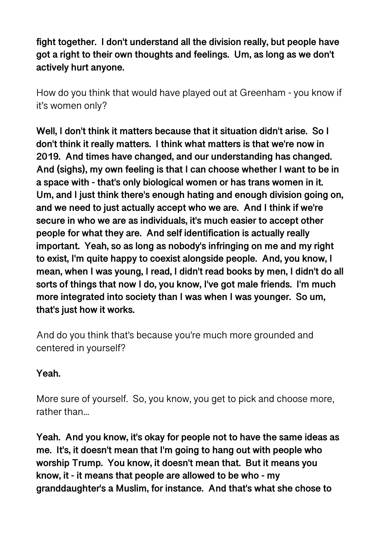**fight together. I don't understand all the division really, but people have got a right to their own thoughts and feelings. Um, as long as we don't actively hurt anyone.** 

How do you think that would have played out at Greenham - you know if it's women only?

**Well, I don't think it matters because that it situation didn't arise. So I don't think it really matters. I think what matters is that we're now in 2019. And times have changed, and our understanding has changed. And (sighs), my own feeling is that I can choose whether I want to be in a space with - that's only biological women or has trans women in it. Um, and I just think there's enough hating and enough division going on, and we need to just actually accept who we are. And I think if we're secure in who we are as individuals, it's much easier to accept other people for what they are. And self identification is actually really important. Yeah, so as long as nobody's infringing on me and my right to exist, I'm quite happy to coexist alongside people. And, you know, I mean, when I was young, I read, I didn't read books by men, I didn't do all sorts of things that now I do, you know, I've got male friends. I'm much more integrated into society than I was when I was younger. So um, that's just how it works.** 

And do you think that's because you're much more grounded and centered in yourself?

### **Yeah.**

More sure of yourself. So, you know, you get to pick and choose more, rather than...

**Yeah. And you know, it's okay for people not to have the same ideas as me. It's, it doesn't mean that I'm going to hang out with people who worship Trump. You know, it doesn't mean that. But it means you know, it - it means that people are allowed to be who - my granddaughter's a Muslim, for instance. And that's what she chose to**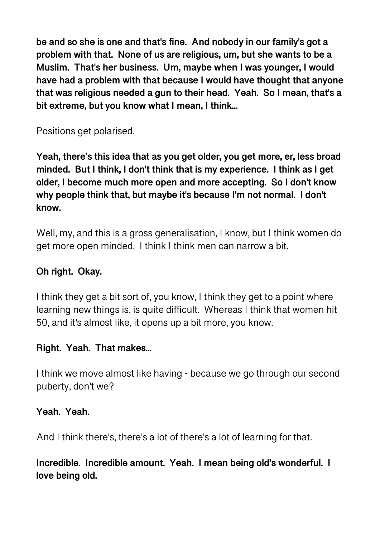**be and so she is one and that's fine. And nobody in our family's got a problem with that. None of us are religious, um, but she wants to be a Muslim. That's her business. Um, maybe when I was younger, I would have had a problem with that because I would have thought that anyone that was religious needed a gun to their head. Yeah. So I mean, that's a bit extreme, but you know what I mean, I think...** 

Positions get polarised.

**Yeah, there's this idea that as you get older, you get more, er, less broad minded. But I think, I don't think that is my experience. I think as I get older, I become much more open and more accepting. So I don't know why people think that, but maybe it's because I'm not normal. I don't know.** 

Well, my, and this is a gross generalisation, I know, but I think women do get more open minded. I think I think men can narrow a bit.

## **Oh right. Okay.**

I think they get a bit sort of, you know, I think they get to a point where learning new things is, is quite difficult. Whereas I think that women hit 50, and it's almost like, it opens up a bit more, you know.

## **Right. Yeah. That makes...**

I think we move almost like having - because we go through our second puberty, don't we?

## **Yeah. Yeah.**

And I think there's, there's a lot of there's a lot of learning for that.

**Incredible. Incredible amount. Yeah. I mean being old's wonderful. I love being old.**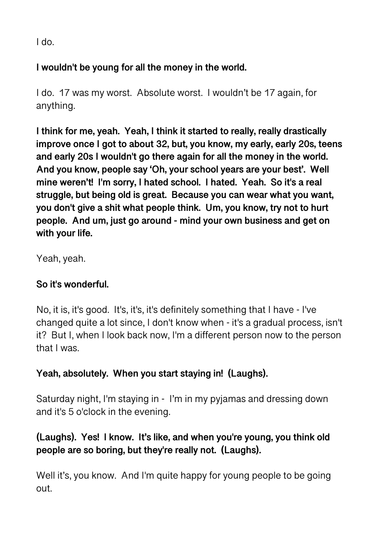I do.

## **I wouldn't be young for all the money in the world.**

I do. 17 was my worst. Absolute worst. I wouldn't be 17 again, for anything.

**I think for me, yeah. Yeah, I think it started to really, really drastically improve once I got to about 32, but, you know, my early, early 20s, teens and early 20s I wouldn't go there again for all the money in the world. And you know, people say 'Oh, your school years are your best'. Well mine weren't! I'm sorry, I hated school. I hated. Yeah. So it's a real struggle, but being old is great. Because you can wear what you want, you don't give a shit what people think. Um, you know, try not to hurt people. And um, just go around - mind your own business and get on with your life.** 

Yeah, yeah.

# **So it's wonderful.**

No, it is, it's good. It's, it's, it's definitely something that I have - I've changed quite a lot since, I don't know when - it's a gradual process, isn't it? But I, when I look back now, I'm a different person now to the person that I was.

# **Yeah, absolutely. When you start staying in! (Laughs).**

Saturday night, I'm staying in - I'm in my pyjamas and dressing down and it's 5 o'clock in the evening.

# **(Laughs). Yes! I know. It's like, and when you're young, you think old people are so boring, but they're really not. (Laughs).**

Well it's, you know. And I'm quite happy for young people to be going out.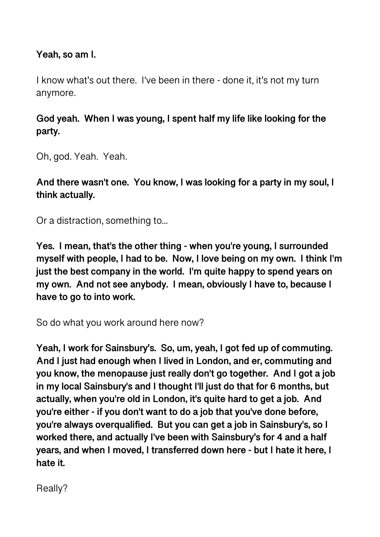**Yeah, so am I.** 

I know what's out there. I've been in there - done it, it's not my turn anymore.

**God yeah. When I was young, I spent half my life like looking for the party.** 

Oh, god. Yeah. Yeah.

**And there wasn't one. You know, I was looking for a party in my soul, I think actually.** 

Or a distraction, something to...

**Yes. I mean, that's the other thing - when you're young, I surrounded myself with people, I had to be. Now, I love being on my own. I think I'm just the best company in the world. I'm quite happy to spend years on my own. And not see anybody. I mean, obviously I have to, because I have to go to into work.** 

So do what you work around here now?

**Yeah, I work for Sainsbury's. So, um, yeah, I got fed up of commuting. And I just had enough when I lived in London, and er, commuting and you know, the menopause just really don't go together. And I got a job in my local Sainsbury's and I thought I'll just do that for 6 months, but actually, when you're old in London, it's quite hard to get a job. And you're either - if you don't want to do a job that you've done before, you're always overqualified. But you can get a job in Sainsbury's, so I worked there, and actually I've been with Sainsbury's for 4 and a half years, and when I moved, I transferred down here - but I hate it here, I hate it.** 

Really?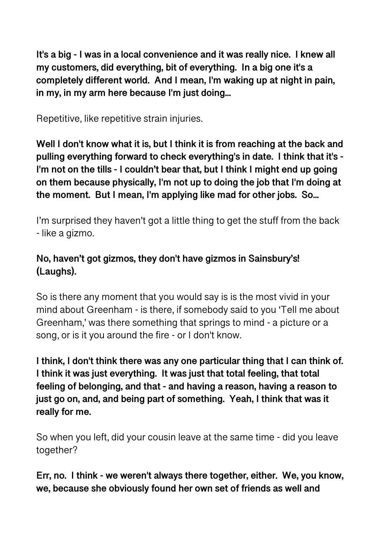**It's a big - I was in a local convenience and it was really nice. I knew all my customers, did everything, bit of everything. In a big one it's a completely different world. And I mean, I'm waking up at night in pain, in my, in my arm here because I'm just doing...** 

Repetitive, like repetitive strain injuries.

**Well I don't know what it is, but I think it is from reaching at the back and pulling everything forward to check everything's in date. I think that it's - I'm not on the tills - I couldn't bear that, but I think I might end up going on them because physically, I'm not up to doing the job that I'm doing at the moment. But I mean, I'm applying like mad for other jobs. So...** 

I'm surprised they haven't got a little thing to get the stuff from the back - like a gizmo.

# **No, haven't got gizmos, they don't have gizmos in Sainsbury's! (Laughs).**

So is there any moment that you would say is is the most vivid in your mind about Greenham - is there, if somebody said to you 'Tell me about Greenham,' was there something that springs to mind - a picture or a song, or is it you around the fire - or I don't know.

**I think, I don't think there was any one particular thing that I can think of. I think it was just everything. It was just that total feeling, that total feeling of belonging, and that - and having a reason, having a reason to just go on, and, and being part of something. Yeah, I think that was it really for me.** 

So when you left, did your cousin leave at the same time - did you leave together?

**Err, no. I think - we weren't always there together, either. We, you know, we, because she obviously found her own set of friends as well and**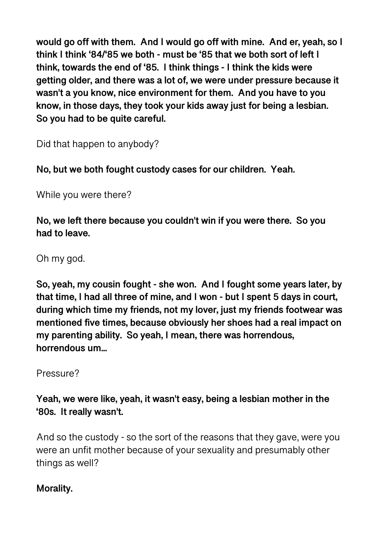**would go off with them. And I would go off with mine. And er, yeah, so I think I think '84/'85 we both - must be '85 that we both sort of left I think, towards the end of '85. I think things - I think the kids were getting older, and there was a lot of, we were under pressure because it wasn't a you know, nice environment for them. And you have to you know, in those days, they took your kids away just for being a lesbian. So you had to be quite careful.** 

Did that happen to anybody?

**No, but we both fought custody cases for our children. Yeah.** 

While you were there?

**No, we left there because you couldn't win if you were there. So you had to leave.** 

Oh my god.

**So, yeah, my cousin fought - she won. And I fought some years later, by that time, I had all three of mine, and I won - but I spent 5 days in court, during which time my friends, not my lover, just my friends footwear was mentioned five times, because obviously her shoes had a real impact on my parenting ability. So yeah, I mean, there was horrendous, horrendous um...** 

Pressure?

**Yeah, we were like, yeah, it wasn't easy, being a lesbian mother in the '80s. It really wasn't.** 

And so the custody - so the sort of the reasons that they gave, were you were an unfit mother because of your sexuality and presumably other things as well?

### **Morality.**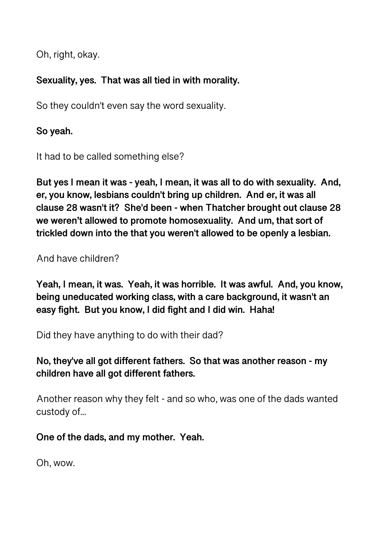Oh, right, okay.

# **Sexuality, yes. That was all tied in with morality.**

So they couldn't even say the word sexuality.

**So yeah.** 

It had to be called something else?

**But yes I mean it was - yeah, I mean, it was all to do with sexuality. And, er, you know, lesbians couldn't bring up children. And er, it was all clause 28 wasn't it? She'd been - when Thatcher brought out clause 28 we weren't allowed to promote homosexuality. And um, that sort of trickled down into the that you weren't allowed to be openly a lesbian.** 

And have children?

**Yeah, I mean, it was. Yeah, it was horrible. It was awful. And, you know, being uneducated working class, with a care background, it wasn't an easy fight. But you know, I did fight and I did win. Haha!** 

Did they have anything to do with their dad?

**No, they've all got different fathers. So that was another reason - my children have all got different fathers.** 

Another reason why they felt - and so who, was one of the dads wanted custody of...

**One of the dads, and my mother. Yeah.** 

Oh, wow.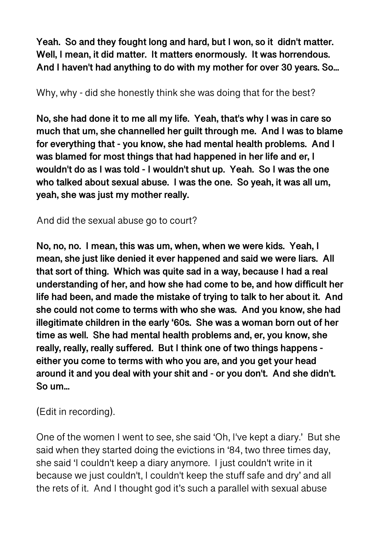**Yeah. So and they fought long and hard, but I won, so it didn't matter. Well, I mean, it did matter. It matters enormously. It was horrendous. And I haven't had anything to do with my mother for over 30 years. So...** 

Why, why - did she honestly think she was doing that for the best?

**No, she had done it to me all my life. Yeah, that's why I was in care so much that um, she channelled her guilt through me. And I was to blame for everything that - you know, she had mental health problems. And I was blamed for most things that had happened in her life and er, I wouldn't do as I was told - I wouldn't shut up. Yeah. So I was the one who talked about sexual abuse. I was the one. So yeah, it was all um, yeah, she was just my mother really.** 

And did the sexual abuse go to court?

**No, no, no. I mean, this was um, when, when we were kids. Yeah, I mean, she just like denied it ever happened and said we were liars. All that sort of thing. Which was quite sad in a way, because I had a real understanding of her, and how she had come to be, and how difficult her life had been, and made the mistake of trying to talk to her about it. And she could not come to terms with who she was. And you know, she had illegitimate children in the early '60s. She was a woman born out of her time as well. She had mental health problems and, er, you know, she really, really, really suffered. But I think one of two things happens either you come to terms with who you are, and you get your head around it and you deal with your shit and - or you don't. And she didn't. So um...** 

(Edit in recording).

One of the women I went to see, she said 'Oh, I've kept a diary.' But she said when they started doing the evictions in '84, two three times day, she said 'I couldn't keep a diary anymore. I just couldn't write in it because we just couldn't, I couldn't keep the stuff safe and dry' and all the rets of it. And I thought god it's such a parallel with sexual abuse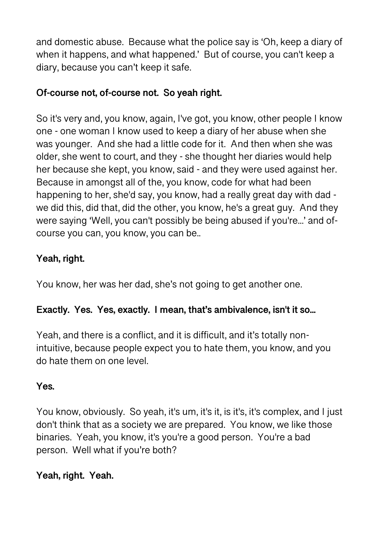and domestic abuse. Because what the police say is 'Oh, keep a diary of when it happens, and what happened.' But of course, you can't keep a diary, because you can't keep it safe.

# **Of-course not, of-course not. So yeah right.**

So it's very and, you know, again, I've got, you know, other people I know one - one woman I know used to keep a diary of her abuse when she was younger. And she had a little code for it. And then when she was older, she went to court, and they - she thought her diaries would help her because she kept, you know, said - and they were used against her. Because in amongst all of the, you know, code for what had been happening to her, she'd say, you know, had a really great day with dad we did this, did that, did the other, you know, he's a great guy. And they were saying 'Well, you can't possibly be being abused if you're...' and ofcourse you can, you know, you can be..

# **Yeah, right.**

You know, her was her dad, she's not going to get another one.

# **Exactly. Yes. Yes, exactly. I mean, that's ambivalence, isn't it so...**

Yeah, and there is a conflict, and it is difficult, and it's totally nonintuitive, because people expect you to hate them, you know, and you do hate them on one level.

# **Yes.**

You know, obviously. So yeah, it's um, it's it, is it's, it's complex, and I just don't think that as a society we are prepared. You know, we like those binaries. Yeah, you know, it's you're a good person. You're a bad person. Well what if you're both?

# **Yeah, right. Yeah.**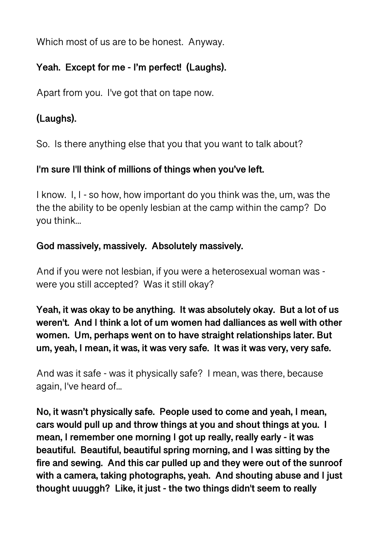Which most of us are to be honest. Anyway.

# **Yeah. Except for me - I'm perfect! (Laughs).**

Apart from you. I've got that on tape now.

# **(Laughs).**

So. Is there anything else that you that you want to talk about?

## **I'm sure I'll think of millions of things when you've left.**

I know. I, I - so how, how important do you think was the, um, was the the the ability to be openly lesbian at the camp within the camp? Do you think...

# **God massively, massively. Absolutely massively.**

And if you were not lesbian, if you were a heterosexual woman was were you still accepted? Was it still okay?

**Yeah, it was okay to be anything. It was absolutely okay. But a lot of us weren't. And I think a lot of um women had dalliances as well with other women. Um, perhaps went on to have straight relationships later. But um, yeah, I mean, it was, it was very safe. It was it was very, very safe.** 

And was it safe - was it physically safe? I mean, was there, because again, I've heard of...

**No, it wasn't physically safe. People used to come and yeah, I mean, cars would pull up and throw things at you and shout things at you. I mean, I remember one morning I got up really, really early - it was beautiful. Beautiful, beautiful spring morning, and I was sitting by the fire and sewing. And this car pulled up and they were out of the sunroof with a camera, taking photographs, yeah. And shouting abuse and I just thought uuuggh? Like, it just - the two things didn't seem to really**